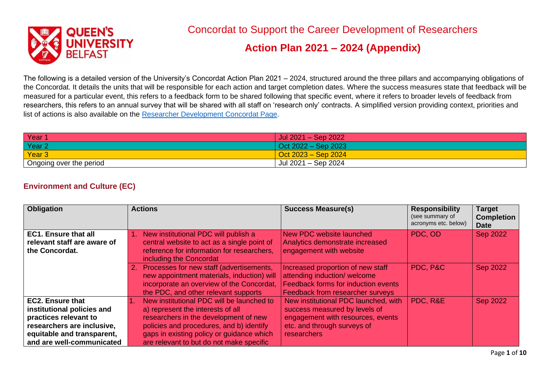

# Concordat to Support the Career Development of Researchers

### **Action Plan 2021 – 2024 (Appendix)**

The following is a detailed version of the University's Concordat Action Plan 2021 – 2024, structured around the three pillars and accompanying obligations of the Concordat. It details the units that will be responsible for each action and target completion dates. Where the success measures state that feedback will be measured for a particular event, this refers to a feedback form to be shared following that specific event, where it refers to broader levels of feedback from researchers, this refers to an annual survey that will be shared with all staff on 'research only' contracts. A simplified version providing context, priorities and list of actions is also available on the [Researcher Development Concordat Page.](https://www.qub.ac.uk/sites/pdc/Policyguidance/ResearcherDevelopmentConcordat/)

| Year                    | Jul $2021 -$ Sep $2022$      |
|-------------------------|------------------------------|
| Year <sub>2</sub>       | $\sqrt{$ Oct 2022 – Sep 2023 |
| Year 3                  | $\sqrt{$ Oct 2023 – Sep 2024 |
| Ongoing over the period | Jul 2021 - Sep 2024          |

#### **Environment and Culture (EC)**

| <b>Obligation</b>           | <b>Actions</b>                                                                                                                                                                 | <b>Success Measure(s)</b>                                                                                                                           | <b>Responsibility</b><br>(see summary of<br>acronyms etc. below) | <b>Target</b><br><b>Completion</b><br><b>Date</b> |
|-----------------------------|--------------------------------------------------------------------------------------------------------------------------------------------------------------------------------|-----------------------------------------------------------------------------------------------------------------------------------------------------|------------------------------------------------------------------|---------------------------------------------------|
| <b>EC1. Ensure that all</b> | 1. New institutional PDC will publish a                                                                                                                                        | New PDC website launched                                                                                                                            | PDC, OD                                                          | <b>Sep 2022</b>                                   |
| relevant staff are aware of | central website to act as a single point of                                                                                                                                    | Analytics demonstrate increased                                                                                                                     |                                                                  |                                                   |
| the Concordat.              | reference for information for researchers,<br>including the Concordat                                                                                                          | engagement with website                                                                                                                             |                                                                  |                                                   |
|                             | 2. Processes for new staff (advertisements,<br>new appointment materials, induction) will<br>incorporate an overview of the Concordat,<br>the PDC, and other relevant supports | Increased proportion of new staff<br>attending induction/ welcome<br>Feedback forms for induction events<br><b>Feedback from researcher surveys</b> | PDC, P&C                                                         | <b>Sep 2022</b>                                   |
| <b>EC2. Ensure that</b>     | New institutional PDC will be launched to                                                                                                                                      | New institutional PDC launched, with                                                                                                                | PDC, R&E                                                         | <b>Sep 2022</b>                                   |
| institutional policies and  | a) represent the interests of all                                                                                                                                              | success measured by levels of                                                                                                                       |                                                                  |                                                   |
| practices relevant to       | researchers in the development of new                                                                                                                                          | engagement with resources, events                                                                                                                   |                                                                  |                                                   |
| researchers are inclusive,  | policies and procedures, and b) identify                                                                                                                                       | etc. and through surveys of                                                                                                                         |                                                                  |                                                   |
| equitable and transparent,  | gaps in existing policy or guidance which                                                                                                                                      | researchers                                                                                                                                         |                                                                  |                                                   |
| and are well-communicated   | are relevant to but do not make specific                                                                                                                                       |                                                                                                                                                     |                                                                  |                                                   |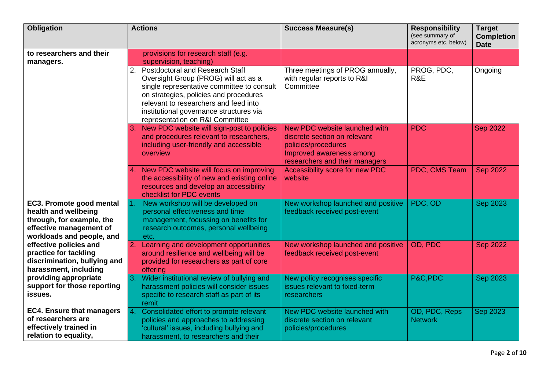| <b>Obligation</b>                                                                                                                     | <b>Actions</b>                                                                                                                                                                                                                                                                                      | <b>Success Measure(s)</b>                                                                                                                          | <b>Responsibility</b><br>(see summary of<br>acronyms etc. below) | <b>Target</b><br><b>Completion</b><br><b>Date</b> |
|---------------------------------------------------------------------------------------------------------------------------------------|-----------------------------------------------------------------------------------------------------------------------------------------------------------------------------------------------------------------------------------------------------------------------------------------------------|----------------------------------------------------------------------------------------------------------------------------------------------------|------------------------------------------------------------------|---------------------------------------------------|
| to researchers and their<br>managers.                                                                                                 | provisions for research staff (e.g.<br>supervision, teaching)                                                                                                                                                                                                                                       |                                                                                                                                                    |                                                                  |                                                   |
|                                                                                                                                       | <b>Postdoctoral and Research Staff</b><br>2.<br>Oversight Group (PROG) will act as a<br>single representative committee to consult<br>on strategies, policies and procedures<br>relevant to researchers and feed into<br>institutional governance structures via<br>representation on R&I Committee | Three meetings of PROG annually,<br>with regular reports to R&I<br>Committee                                                                       | PROG, PDC,<br>R&E                                                | Ongoing                                           |
|                                                                                                                                       | New PDC website will sign-post to policies<br>3.<br>and procedures relevant to researchers,<br>including user-friendly and accessible<br>overview                                                                                                                                                   | New PDC website launched with<br>discrete section on relevant<br>policies/procedures<br>Improved awareness among<br>researchers and their managers | <b>PDC</b>                                                       | <b>Sep 2022</b>                                   |
|                                                                                                                                       | New PDC website will focus on improving<br>the accessibility of new and existing online<br>resources and develop an accessibility<br>checklist for PDC events                                                                                                                                       | Accessibility score for new PDC<br>website                                                                                                         | PDC, CMS Team                                                    | <b>Sep 2022</b>                                   |
| EC3. Promote good mental<br>health and wellbeing<br>through, for example, the<br>effective management of<br>workloads and people, and | New workshop will be developed on<br>$\overline{1}$ .<br>personal effectiveness and time<br>management, focussing on benefits for<br>research outcomes, personal wellbeing<br>etc.                                                                                                                  | New workshop launched and positive<br>feedback received post-event                                                                                 | PDC, OD                                                          | Sep 2023                                          |
| effective policies and<br>practice for tackling<br>discrimination, bullying and<br>harassment, including                              | 2. Learning and development opportunities<br>around resilience and wellbeing will be<br>provided for researchers as part of core<br>offering                                                                                                                                                        | New workshop launched and positive<br>feedback received post-event                                                                                 | OD, PDC                                                          | <b>Sep 2022</b>                                   |
| providing appropriate<br>support for those reporting<br>issues.                                                                       | Wider institutional review of bullying and<br>3.<br>harassment policies will consider issues<br>specific to research staff as part of its<br>remit                                                                                                                                                  | New policy recognises specific<br>issues relevant to fixed-term<br>researchers                                                                     | P&C,PDC                                                          | <b>Sep 2023</b>                                   |
| <b>EC4. Ensure that managers</b><br>of researchers are<br>effectively trained in<br>relation to equality,                             | Consolidated effort to promote relevant<br>4.<br>policies and approaches to addressing<br>'cultural' issues, including bullying and<br>harassment, to researchers and their                                                                                                                         | New PDC website launched with<br>discrete section on relevant<br>policies/procedures                                                               | OD, PDC, Reps<br><b>Network</b>                                  | <b>Sep 2023</b>                                   |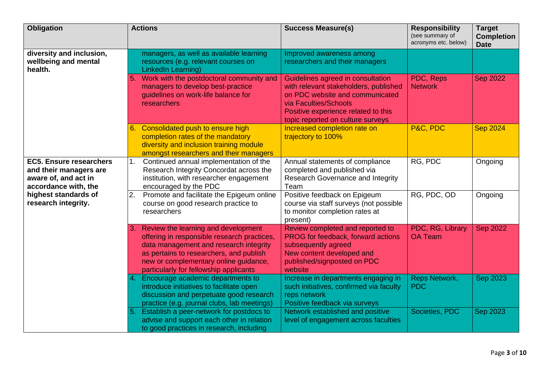| <b>Obligation</b>                                                                                        | <b>Actions</b>                                                                                                                                                                                                                                                   | <b>Success Measure(s)</b>                                                                                                                                                                                          | <b>Responsibility</b><br>(see summary of<br>acronyms etc. below) | <b>Target</b><br><b>Completion</b><br><b>Date</b> |
|----------------------------------------------------------------------------------------------------------|------------------------------------------------------------------------------------------------------------------------------------------------------------------------------------------------------------------------------------------------------------------|--------------------------------------------------------------------------------------------------------------------------------------------------------------------------------------------------------------------|------------------------------------------------------------------|---------------------------------------------------|
| diversity and inclusion,<br>wellbeing and mental<br>health.                                              | managers, as well as available learning<br>resources (e.g. relevant courses on<br>LinkedIn Learning)                                                                                                                                                             | Improved awareness among<br>researchers and their managers                                                                                                                                                         |                                                                  |                                                   |
|                                                                                                          | Work with the postdoctoral community and<br>5.<br>managers to develop best-practice<br>guidelines on work-life balance for<br>researchers                                                                                                                        | Guidelines agreed in consultation<br>with relevant stakeholders, published<br>on PDC website and communicated<br>via Faculties/Schools<br>Positive experience related to this<br>topic reported on culture surveys | PDC, Reps<br><b>Network</b>                                      | <b>Sep 2022</b>                                   |
|                                                                                                          | Consolidated push to ensure high<br>6.<br>completion rates of the mandatory<br>diversity and inclusion training module<br>amongst researchers and their managers                                                                                                 | Increased completion rate on<br>trajectory to 100%                                                                                                                                                                 | P&C, PDC                                                         | <b>Sep 2024</b>                                   |
| <b>EC5. Ensure researchers</b><br>and their managers are<br>aware of, and act in<br>accordance with, the | Continued annual implementation of the<br>1.<br>Research Integrity Concordat across the<br>institution, with researcher engagement<br>encouraged by the PDC                                                                                                      | Annual statements of compliance<br>completed and published via<br><b>Research Governance and Integrity</b><br>Team                                                                                                 | RG, PDC                                                          | Ongoing                                           |
| highest standards of<br>research integrity.                                                              | Promote and facilitate the Epigeum online<br>2.<br>course on good research practice to<br>researchers                                                                                                                                                            | Positive feedback on Epigeum<br>course via staff surveys (not possible<br>to monitor completion rates at<br>present)                                                                                               | RG, PDC, OD                                                      | Ongoing                                           |
|                                                                                                          | Review the learning and development<br>3.<br>offering in responsible research practices,<br>data management and research integrity<br>as pertains to researchers, and publish<br>new or complementary online guidance,<br>particularly for fellowship applicants | Review completed and reported to<br>PROG for feedback, forward actions<br>subsequently agreed<br>New content developed and<br>published/signposted on PDC<br>website                                               | PDC, RG, Library<br><b>OA Team</b>                               | <b>Sep 2022</b>                                   |
|                                                                                                          | 4. Encourage academic departments to<br>introduce initiatives to facilitate open<br>discussion and perpetuate good research<br>practice (e.g. journal clubs, lab meetings)                                                                                       | Increase in departments engaging in<br>such initiatives, confirmed via faculty<br>reps network<br>Positive feedback via surveys                                                                                    | <b>Reps Network,</b><br><b>PDC</b>                               | <b>Sep 2023</b>                                   |
|                                                                                                          | Establish a peer-network for postdocs to<br>5.<br>advise and support each other in relation<br>to good practices in research, including                                                                                                                          | Network established and positive<br>level of engagement across faculties                                                                                                                                           | Societies, PDC                                                   | <b>Sep 2023</b>                                   |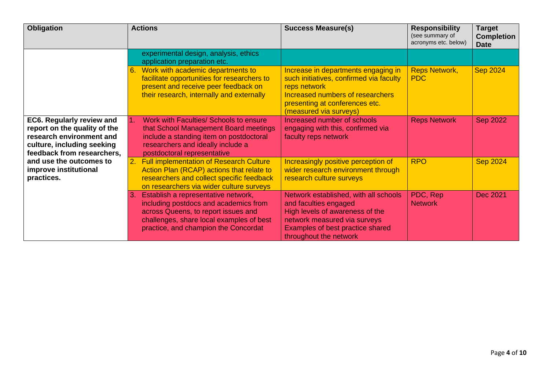| <b>Obligation</b>                                                                                                                                 | <b>Actions</b>                                                                                                                                                                                                   | <b>Success Measure(s)</b>                                                                                                                                                                       | <b>Responsibility</b><br>(see summary of<br>acronyms etc. below) | Target<br><b>Completion</b><br><b>Date</b> |
|---------------------------------------------------------------------------------------------------------------------------------------------------|------------------------------------------------------------------------------------------------------------------------------------------------------------------------------------------------------------------|-------------------------------------------------------------------------------------------------------------------------------------------------------------------------------------------------|------------------------------------------------------------------|--------------------------------------------|
|                                                                                                                                                   | experimental design, analysis, ethics<br>application preparation etc.                                                                                                                                            |                                                                                                                                                                                                 |                                                                  |                                            |
|                                                                                                                                                   | Work with academic departments to<br>facilitate opportunities for researchers to<br>present and receive peer feedback on<br>their research, internally and externally                                            | Increase in departments engaging in<br>such initiatives, confirmed via faculty<br>reps network<br>Increased numbers of researchers<br>presenting at conferences etc.<br>(measured via surveys)  | <b>Reps Network,</b><br><b>PDC</b>                               | <b>Sep 2024</b>                            |
| EC6. Regularly review and<br>report on the quality of the<br>research environment and<br>culture, including seeking<br>feedback from researchers, | Work with Faculties/ Schools to ensure<br>$\mathbf{1}$ .<br>that School Management Board meetings<br>include a standing item on postdoctoral<br>researchers and ideally include a<br>postdoctoral representative | Increased number of schools<br>engaging with this, confirmed via<br>faculty reps network                                                                                                        | <b>Reps Network</b>                                              | <b>Sep 2022</b>                            |
| and use the outcomes to<br>improve institutional<br>practices.                                                                                    | <b>Full implementation of Research Culture</b><br>2.<br>Action Plan (RCAP) actions that relate to<br>researchers and collect specific feedback<br>on researchers via wider culture surveys                       | Increasingly positive perception of<br>wider research environment through<br>research culture surveys                                                                                           | <b>RPO</b>                                                       | <b>Sep 2024</b>                            |
|                                                                                                                                                   | Establish a representative network,<br>including postdocs and academics from<br>across Queens, to report issues and<br>challenges, share local examples of best<br>practice, and champion the Concordat          | Network established, with all schools<br>and faculties engaged<br>High levels of awareness of the<br>network measured via surveys<br>Examples of best practice shared<br>throughout the network | PDC, Rep<br><b>Network</b>                                       | Dec 2021                                   |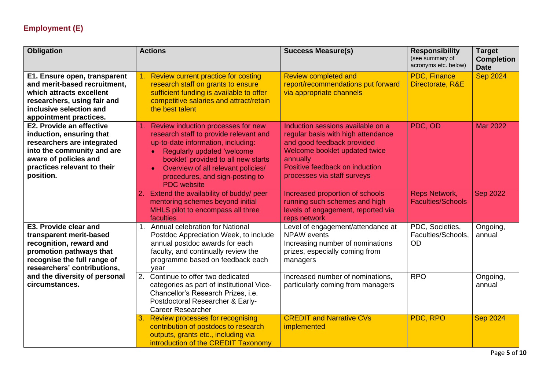### **Employment (E)**

| <b>Obligation</b>                                                                                                                                                                     | <b>Actions</b>                                                                                                                                                                                                                                                                                                             | <b>Success Measure(s)</b>                                                                                                                                                                                           | <b>Responsibility</b><br>(see summary of<br>acronyms etc. below) | <b>Target</b><br><b>Completion</b><br><b>Date</b> |
|---------------------------------------------------------------------------------------------------------------------------------------------------------------------------------------|----------------------------------------------------------------------------------------------------------------------------------------------------------------------------------------------------------------------------------------------------------------------------------------------------------------------------|---------------------------------------------------------------------------------------------------------------------------------------------------------------------------------------------------------------------|------------------------------------------------------------------|---------------------------------------------------|
| E1. Ensure open, transparent<br>and merit-based recruitment.<br>which attracts excellent<br>researchers, using fair and<br>inclusive selection and<br>appointment practices.          | Review current practice for costing<br>research staff on grants to ensure<br>sufficient funding is available to offer<br>competitive salaries and attract/retain<br>the best talent                                                                                                                                        | <b>Review completed and</b><br>report/recommendations put forward<br>via appropriate channels                                                                                                                       | PDC, Finance<br>Directorate, R&E                                 | <b>Sep 2024</b>                                   |
| E2. Provide an effective<br>induction, ensuring that<br>researchers are integrated<br>into the community and are<br>aware of policies and<br>practices relevant to their<br>position. | 1. Review induction processes for new<br>research staff to provide relevant and<br>up-to-date information, including:<br><b>Regularly updated 'welcome</b><br>$\bullet$<br>booklet' provided to all new starts<br>Overview of all relevant policies/<br>$\bullet$<br>procedures, and sign-posting to<br><b>PDC</b> website | Induction sessions available on a<br>regular basis with high attendance<br>and good feedback provided<br>Welcome booklet updated twice<br>annually<br>Positive feedback on induction<br>processes via staff surveys | PDC, OD                                                          | <b>Mar 2022</b>                                   |
|                                                                                                                                                                                       | 2. Extend the availability of buddy/ peer<br>mentoring schemes beyond initial<br>MHLS pilot to encompass all three<br>faculties                                                                                                                                                                                            | Increased proportion of schools<br>running such schemes and high<br>levels of engagement, reported via<br>reps network                                                                                              | <b>Reps Network,</b><br><b>Faculties/Schools</b>                 | <b>Sep 2022</b>                                   |
| E3. Provide clear and<br>transparent merit-based<br>recognition, reward and<br>promotion pathways that<br>recognise the full range of<br>researchers' contributions,                  | 1. Annual celebration for National<br>Postdoc Appreciation Week, to include<br>annual postdoc awards for each<br>faculty, and continually review the<br>programme based on feedback each<br>vear                                                                                                                           | Level of engagement/attendance at<br><b>NPAW</b> events<br>Increasing number of nominations<br>prizes, especially coming from<br>managers                                                                           | PDC, Societies,<br>Faculties/Schools,<br><b>OD</b>               | Ongoing,<br>annual                                |
| and the diversity of personal<br>circumstances.                                                                                                                                       | Continue to offer two dedicated<br>2.<br>categories as part of institutional Vice-<br>Chancellor's Research Prizes, i.e.<br>Postdoctoral Researcher & Early-<br><b>Career Researcher</b>                                                                                                                                   | Increased number of nominations,<br>particularly coming from managers                                                                                                                                               | <b>RPO</b>                                                       | Ongoing,<br>annual                                |
|                                                                                                                                                                                       | 3.<br><b>Review processes for recognising</b><br>contribution of postdocs to research<br>outputs, grants etc., including via<br>introduction of the CREDIT Taxonomy                                                                                                                                                        | <b>CREDIT and Narrative CVs</b><br>implemented                                                                                                                                                                      | PDC, RPO                                                         | <b>Sep 2024</b>                                   |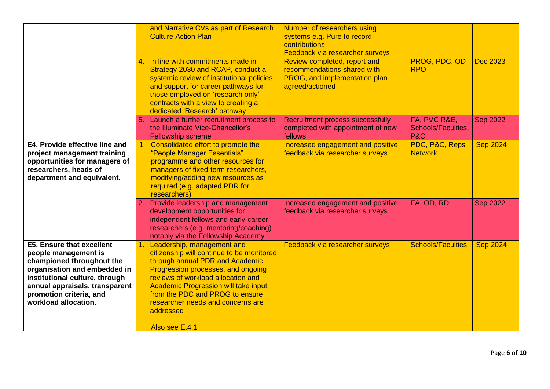|                                                                                                                                                                                                                                              | and Narrative CVs as part of Research<br><b>Culture Action Plan</b>                                                                                                                                                                                                                                                                             | Number of researchers using<br>systems e.g. Pure to record<br>contributions<br>Feedback via researcher surveys  |                                                             |                 |
|----------------------------------------------------------------------------------------------------------------------------------------------------------------------------------------------------------------------------------------------|-------------------------------------------------------------------------------------------------------------------------------------------------------------------------------------------------------------------------------------------------------------------------------------------------------------------------------------------------|-----------------------------------------------------------------------------------------------------------------|-------------------------------------------------------------|-----------------|
|                                                                                                                                                                                                                                              | 4. In line with commitments made in<br>Strategy 2030 and RCAP, conduct a<br>systemic review of institutional policies<br>and support for career pathways for<br>those employed on 'research only'<br>contracts with a view to creating a<br>dedicated 'Research' pathway                                                                        | Review completed, report and<br>recommendations shared with<br>PROG, and implementation plan<br>agreed/actioned | PROG, PDC, OD<br><b>RPO</b>                                 | <b>Dec 2023</b> |
|                                                                                                                                                                                                                                              | 5. Launch a further recruitment process to<br>the Illuminate Vice-Chancellor's<br><b>Fellowship scheme</b>                                                                                                                                                                                                                                      | Recruitment process successfully<br>completed with appointment of new<br>fellows                                | FA, PVC R&E,<br><b>Schools/Faculties,</b><br><b>P&amp;C</b> | <b>Sep 2022</b> |
| E4. Provide effective line and<br>project management training<br>opportunities for managers of<br>researchers, heads of<br>department and equivalent.                                                                                        | 1. Consolidated effort to promote the<br>"People Manager Essentials"<br>programme and other resources for<br>managers of fixed-term researchers,<br>modifying/adding new resources as<br>required (e.g. adapted PDR for<br>researchers)                                                                                                         | Increased engagement and positive<br>feedback via researcher surveys                                            | PDC, P&C, Reps<br><b>Network</b>                            | <b>Sep 2024</b> |
|                                                                                                                                                                                                                                              | 2. Provide leadership and management<br>development opportunities for<br>independent fellows and early-career<br>researchers (e.g. mentoring/coaching)<br>notably via the Fellowship Academy                                                                                                                                                    | Increased engagement and positive<br>feedback via researcher surveys                                            | FA, OD, RD                                                  | <b>Sep 2022</b> |
| <b>E5. Ensure that excellent</b><br>people management is<br>championed throughout the<br>organisation and embedded in<br>institutional culture, through<br>annual appraisals, transparent<br>promotion criteria, and<br>workload allocation. | 1. Leadership, management and<br>citizenship will continue to be monitored<br>through annual PDR and Academic<br>Progression processes, and ongoing<br>reviews of workload allocation and<br><b>Academic Progression will take input</b><br>from the PDC and PROG to ensure<br>researcher needs and concerns are<br>addressed<br>Also see E.4.1 | Feedback via researcher surveys                                                                                 | <b>Schools/Faculties</b>                                    | <b>Sep 2024</b> |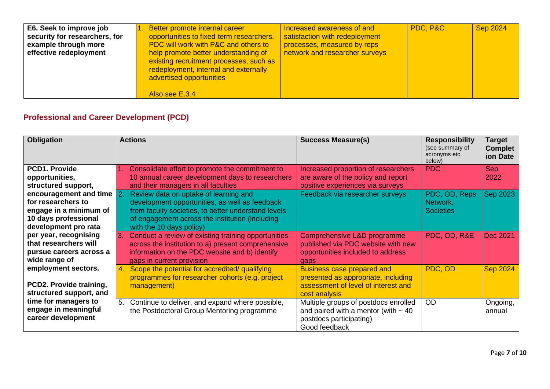| E6. Seek to improve job<br>security for researchers, for<br>example through more<br>effective redeployment | Better promote internal career<br>opportunities to fixed-term researchers.<br><b>PDC will work with P&amp;C and others to</b><br>help promote better understanding of<br>existing recruitment processes, such as<br>redeployment, internal and externally<br>advertised opportunities | Increased awareness of and<br>satisfaction with redeployment<br>processes, measured by reps<br>network and researcher surveys | PDC, P&C | <b>Sep 2024</b> |
|------------------------------------------------------------------------------------------------------------|---------------------------------------------------------------------------------------------------------------------------------------------------------------------------------------------------------------------------------------------------------------------------------------|-------------------------------------------------------------------------------------------------------------------------------|----------|-----------------|
|                                                                                                            | Also see E.3.4                                                                                                                                                                                                                                                                        |                                                                                                                               |          |                 |

## **Professional and Career Development (PCD)**

| <b>Obligation</b>                                                                            | <b>Actions</b>                                                                                                                                                                                                                                                    | <b>Success Measure(s)</b>                                                                                                        | <b>Responsibility</b><br>(see summary of<br>acronyms etc.<br>below) | Target<br><b>Complet</b><br>ion Date |
|----------------------------------------------------------------------------------------------|-------------------------------------------------------------------------------------------------------------------------------------------------------------------------------------------------------------------------------------------------------------------|----------------------------------------------------------------------------------------------------------------------------------|---------------------------------------------------------------------|--------------------------------------|
| PCD1. Provide<br>opportunities,<br>structured support,                                       | 1. Consolidate effort to promote the commitment to<br>10 annual career development days to researchers<br>and their managers in all faculties                                                                                                                     | Increased proportion of researchers<br>are aware of the policy and report<br>positive experiences via surveys                    | PDC                                                                 | <b>Sep</b><br>2022                   |
| for researchers to<br>engage in a minimum of<br>10 days professional<br>development pro rata | encouragement and time $\sqrt{2}$ . Review data on uptake of learning and<br>development opportunities, as well as feedback<br>from faculty societies, to better understand levels<br>of engagement across the institution (including<br>with the 10 days policy) | Feedback via researcher surveys                                                                                                  | PDC, OD, Reps<br>Network,<br><b>Societies</b>                       | Sep 2023                             |
| per year, recognising<br>that researchers will<br>pursue careers across a<br>wide range of   | Conduct a review of existing training opportunities<br>across the institution to a) present comprehensive<br>information on the PDC website and b) identify<br>gaps in current provision                                                                          | Comprehensive L&D programme<br>published via PDC website with new<br>opportunities included to address<br>gaps                   | PDC, OD, R&E                                                        | Dec 2021                             |
| employment sectors.<br>PCD2. Provide training,<br>structured support, and                    | Scope the potential for accredited/ qualifying<br>4.<br>programmes for researcher cohorts (e.g. project<br>management)                                                                                                                                            | <b>Business case prepared and</b><br>presented as appropriate, including<br>assessment of level of interest and<br>cost analysis | PDC, OD                                                             | <b>Sep 2024</b>                      |
| time for managers to<br>engage in meaningful<br>career development                           | Continue to deliver, and expand where possible,<br>5.<br>the Postdoctoral Group Mentoring programme                                                                                                                                                               | Multiple groups of postdocs enrolled<br>and paired with a mentor (with $\sim$ 40<br>postdocs participating)<br>Good feedback     | <b>OD</b>                                                           | Ongoing,<br>annual                   |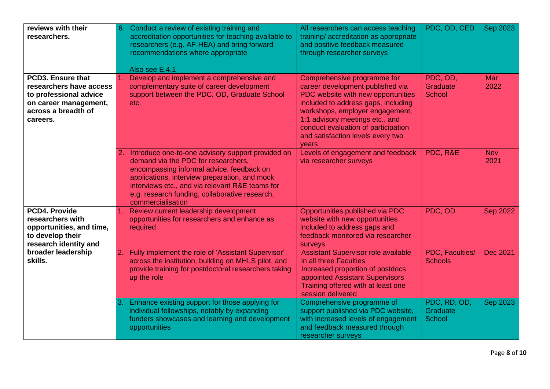| reviews with their<br>researchers.                                                                                                 | 6.  | Conduct a review of existing training and<br>accreditation opportunities for teaching available to<br>researchers (e.g. AF-HEA) and bring forward<br>recommendations where appropriate<br>Also see E.4.1                                                                                                            | All researchers can access teaching<br>training/accreditation as appropriate<br>and positive feedback measured<br>through researcher surveys                                                                                                                                                            | PDC, OD, CED                       | Sep 2023           |
|------------------------------------------------------------------------------------------------------------------------------------|-----|---------------------------------------------------------------------------------------------------------------------------------------------------------------------------------------------------------------------------------------------------------------------------------------------------------------------|---------------------------------------------------------------------------------------------------------------------------------------------------------------------------------------------------------------------------------------------------------------------------------------------------------|------------------------------------|--------------------|
| PCD3. Ensure that<br>researchers have access<br>to professional advice<br>on career management,<br>across a breadth of<br>careers. |     | Develop and implement a comprehensive and<br>complementary suite of career development<br>support between the PDC, OD, Graduate School<br>etc.                                                                                                                                                                      | Comprehensive programme for<br>career development published via<br>PDC website with new opportunities<br>included to address gaps, including<br>workshops, employer engagement,<br>1:1 advisory meetings etc., and<br>conduct evaluation of participation<br>and satisfaction levels every two<br>years | PDC, OD,<br>Graduate<br>School     | <b>Mar</b><br>2022 |
|                                                                                                                                    |     | 2. Introduce one-to-one advisory support provided on<br>demand via the PDC for researchers,<br>encompassing informal advice, feedback on<br>applications, interview preparation, and mock<br>interviews etc., and via relevant R&E teams for<br>e.g. research funding, collaborative research,<br>commercialisation | Levels of engagement and feedback<br>via researcher surveys                                                                                                                                                                                                                                             | PDC, R&E                           | <b>Nov</b><br>2021 |
| <b>PCD4. Provide</b><br>researchers with<br>opportunities, and time,<br>to develop their<br>research identity and                  |     | 1. Review current leadership development<br>opportunities for researchers and enhance as<br>required                                                                                                                                                                                                                | Opportunities published via PDC<br>website with new opportunities<br>included to address gaps and<br>feedback monitored via researcher<br>surveys                                                                                                                                                       | PDC, OD                            | <b>Sep 2022</b>    |
| broader leadership<br>skills.                                                                                                      | 2.  | Fully implement the role of 'Assistant Supervisor'<br>across the institution, building on MHLS pilot, and<br>provide training for postdoctoral researchers taking<br>up the role                                                                                                                                    | <b>Assistant Supervisor role available</b><br>in all three Faculties<br>Increased proportion of postdocs<br>appointed Assistant Supervisors<br>Training offered with at least one<br>session delivered                                                                                                  | PDC, Faculties/<br><b>Schools</b>  | Dec 2021           |
|                                                                                                                                    | I3. | Enhance existing support for those applying for<br>individual fellowships, notably by expanding<br>funders showcases and learning and development<br>opportunities                                                                                                                                                  | Comprehensive programme of<br>support published via PDC website,<br>with increased levels of engagement<br>and feedback measured through<br>researcher surveys                                                                                                                                          | PDC, RD, OD,<br>Graduate<br>School | <b>Sep 2023</b>    |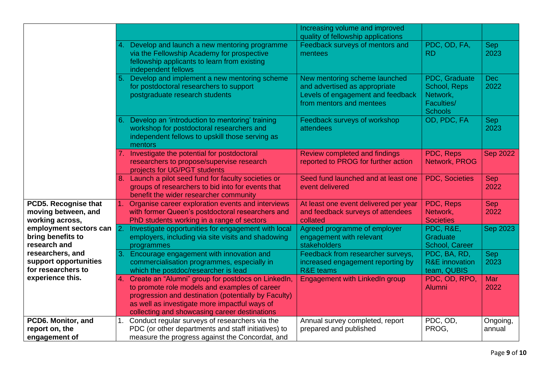|                        |    |                                                      | Increasing volume and improved        |                           |                 |
|------------------------|----|------------------------------------------------------|---------------------------------------|---------------------------|-----------------|
|                        |    |                                                      | quality of fellowship applications    |                           |                 |
|                        |    | 4. Develop and launch a new mentoring programme      | Feedback surveys of mentors and       | PDC, OD, FA,              | <b>Sep</b>      |
|                        |    | via the Fellowship Academy for prospective           | mentees                               | <b>RD</b>                 | 2023            |
|                        |    | fellowship applicants to learn from existing         |                                       |                           |                 |
|                        |    | independent fellows                                  |                                       |                           |                 |
|                        | 5. | Develop and implement a new mentoring scheme         | New mentoring scheme launched         | PDC, Graduate             | Dec             |
|                        |    | for postdoctoral researchers to support              | and advertised as appropriate         | School, Reps              | 2022            |
|                        |    | postgraduate research students                       | Levels of engagement and feedback     | Network,                  |                 |
|                        |    |                                                      | from mentors and mentees              | Faculties/                |                 |
|                        |    |                                                      |                                       | <b>Schools</b>            |                 |
|                        | 6. | Develop an 'introduction to mentoring' training      | Feedback surveys of workshop          | OD, PDC, FA               | <b>Sep</b>      |
|                        |    | workshop for postdoctoral researchers and            | attendees                             |                           | 2023            |
|                        |    | independent fellows to upskill those serving as      |                                       |                           |                 |
|                        |    | mentors                                              |                                       |                           |                 |
|                        |    | 7. Investigate the potential for postdoctoral        | Review completed and findings         | PDC, Reps                 | <b>Sep 2022</b> |
|                        |    | researchers to propose/supervise research            | reported to PROG for further action   | Network, PROG             |                 |
|                        |    | projects for UG/PGT students                         |                                       |                           |                 |
|                        |    | 8. Launch a pilot seed fund for faculty societies or | Seed fund launched and at least one   | <b>PDC, Societies</b>     | Sep             |
|                        |    | groups of researchers to bid into for events that    | event delivered                       |                           | 2022            |
|                        |    | benefit the wider researcher community               |                                       |                           |                 |
| PCD5. Recognise that   |    | Organise career exploration events and interviews    | At least one event delivered per year | PDC, Reps                 | Sep             |
| moving between, and    |    | with former Queen's postdoctoral researchers and     | and feedback surveys of attendees     | Network,                  | 2022            |
| working across,        |    | PhD students working in a range of sectors           | collated                              | <b>Societies</b>          |                 |
| employment sectors can |    | Investigate opportunities for engagement with local  | Agreed programme of employer          | PDC, R&E,                 | Sep 2023        |
| bring benefits to      |    | employers, including via site visits and shadowing   | engagement with relevant              | Graduate                  |                 |
| research and           |    | programmes                                           | stakeholders                          | School, Career            |                 |
| researchers, and       | 3. | Encourage engagement with innovation and             | Feedback from researcher surveys,     | PDC, BA, RD,              | <b>Sep</b>      |
| support opportunities  |    | commercialisation programmes, especially in          | increased engagement reporting by     | <b>R&amp;E</b> innovation | 2023            |
| for researchers to     |    | which the postdoc/researcher is lead                 | <b>R&amp;E</b> teams                  | team, QUBIS               |                 |
| experience this.       | 4. | Create an "Alumni" group for postdocs on LinkedIn,   | <b>Engagement with LinkedIn group</b> | PDC, OD, RPO,             | Mar             |
|                        |    | to promote role models and examples of career        |                                       | <b>Alumni</b>             | 2022            |
|                        |    | progression and destination (potentially by Faculty) |                                       |                           |                 |
|                        |    | as well as investigate more impactful ways of        |                                       |                           |                 |
|                        |    | collecting and showcasing career destinations        |                                       |                           |                 |
| PCD6. Monitor, and     |    | Conduct regular surveys of researchers via the       | Annual survey completed, report       | PDC, OD,                  | Ongoing,        |
| report on, the         |    | PDC (or other departments and staff initiatives) to  | prepared and published                | PROG,                     | annual          |
| engagement of          |    | measure the progress against the Concordat, and      |                                       |                           |                 |